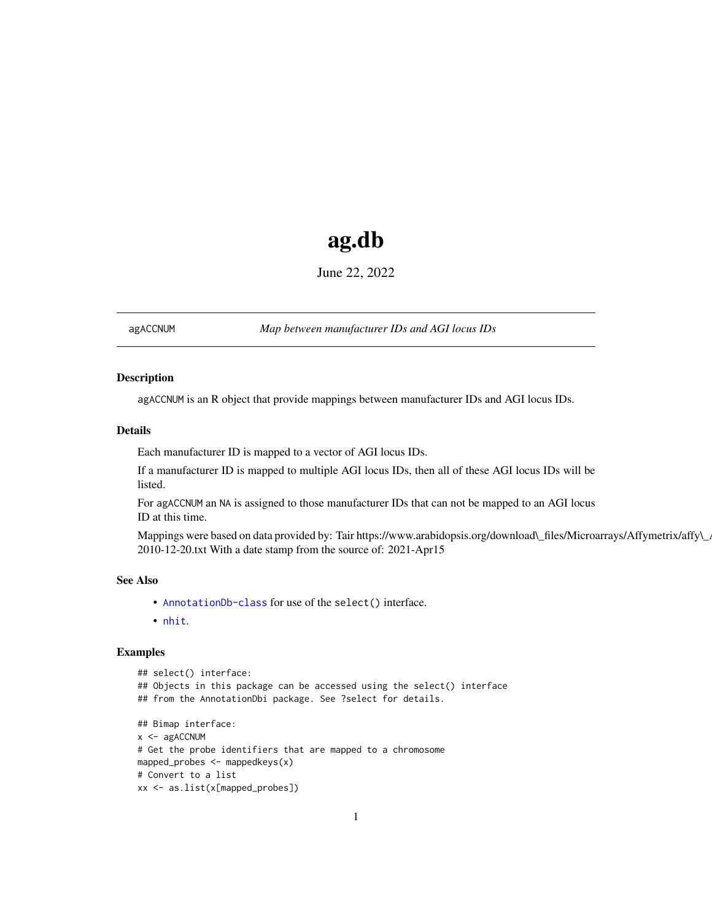# ag.db

June 22, 2022

<span id="page-0-1"></span><span id="page-0-0"></span>agACCNUM *Map between manufacturer IDs and AGI locus IDs*

# Description

agACCNUM is an R object that provide mappings between manufacturer IDs and AGI locus IDs.

# Details

Each manufacturer ID is mapped to a vector of AGI locus IDs.

If a manufacturer ID is mapped to multiple AGI locus IDs, then all of these AGI locus IDs will be listed.

For agACCNUM an NA is assigned to those manufacturer IDs that can not be mapped to an AGI locus ID at this time.

Mappings were based on data provided by: Tair https://www.arabidopsis.org/download\\_files/Microarrays/Affymetrix/affy\\_ 2010-12-20.txt With a date stamp from the source of: 2021-Apr15

#### See Also

- AnnotationDb-class for use of the select() interface.
- nhit.

```
## select() interface:
## Objects in this package can be accessed using the select() interface
## from the AnnotationDbi package. See ?select for details.
## Bimap interface:
x <- agACCNUM
# Get the probe identifiers that are mapped to a chromosome
mapped_probes <- mappedkeys(x)
# Convert to a list
xx <- as.list(x[mapped_probes])
```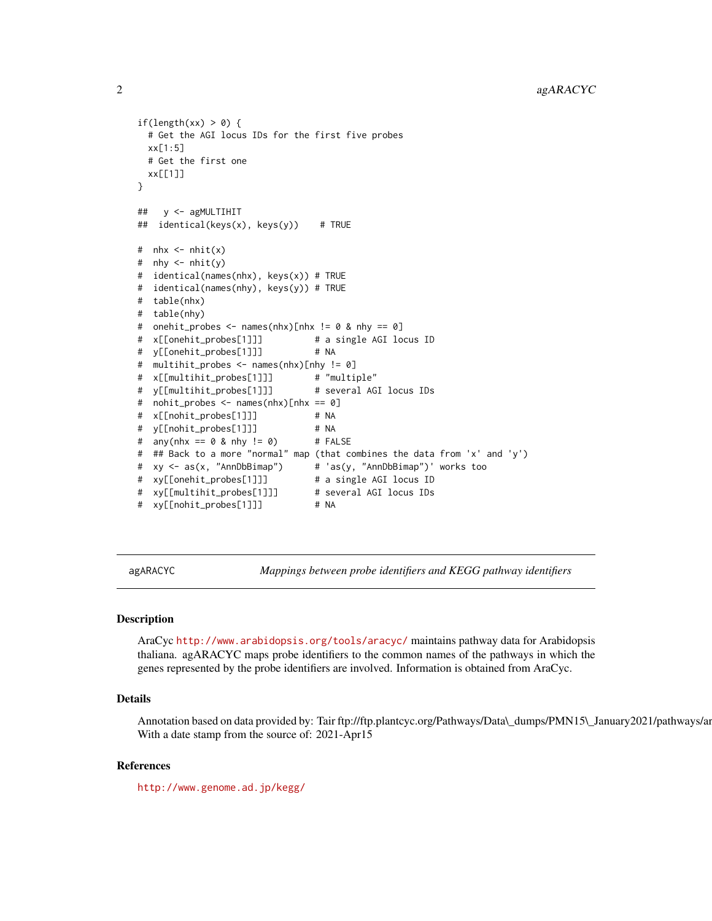```
if(length(xx) > 0) {
 # Get the AGI locus IDs for the first five probes
 xx[1:5]
 # Get the first one
 xx[[1]]
}
## y <- agMULTIHIT
## identical(keys(x), keys(y)) # TRUE
# nhx \leq -nhit(x)# nhy \leq nhit(y)# identical(names(nhx), keys(x)) # TRUE
# identical(names(nhy), keys(y)) # TRUE
# table(nhx)
# table(nhy)
# onehit_probes <- names(nhx)[nhx != 0 & nhy == 0]
# x[[onehit_probes[1]]] # a single AGI locus ID
# y[[onehit_probes[1]]] # NA
# multihit_probes <- names(nhx)[nhy != 0]
# x[[multihit_probes[1]]] # "multiple"
# y[[multihit_probes[1]]] # several AGI locus IDs
# nohit_probes <- names(nhx)[nhx == 0]
# x[[nohit_probes[1]]] # NA
# y[[nohit_probes[1]]] # NA
# any(nhx == 0 & nhy != 0) # FALSE# ## Back to a more "normal" map (that combines the data from 'x' and 'y')
# xy <- as(x, "AnnDbBimap") # 'as(y, "AnnDbBimap")' works too
# xy[[onehit_probes[1]]] # a single AGI locus ID
# xy[[multihit_probes[1]]]
# xy[[nohit_probes[1]]] # NA
```
agARACYC *Mappings between probe identifiers and KEGG pathway identifiers*

## **Description**

AraCyc <http://www.arabidopsis.org/tools/aracyc/> maintains pathway data for Arabidopsis thaliana. agARACYC maps probe identifiers to the common names of the pathways in which the genes represented by the probe identifiers are involved. Information is obtained from AraCyc.

# Details

Annotation based on data provided by: Tair ftp://ftp.plantcyc.org/Pathways/Data\\_dumps/PMN15\\_January2021/pathways/ar With a date stamp from the source of: 2021-Apr15

# References

<http://www.genome.ad.jp/kegg/>

<span id="page-1-0"></span>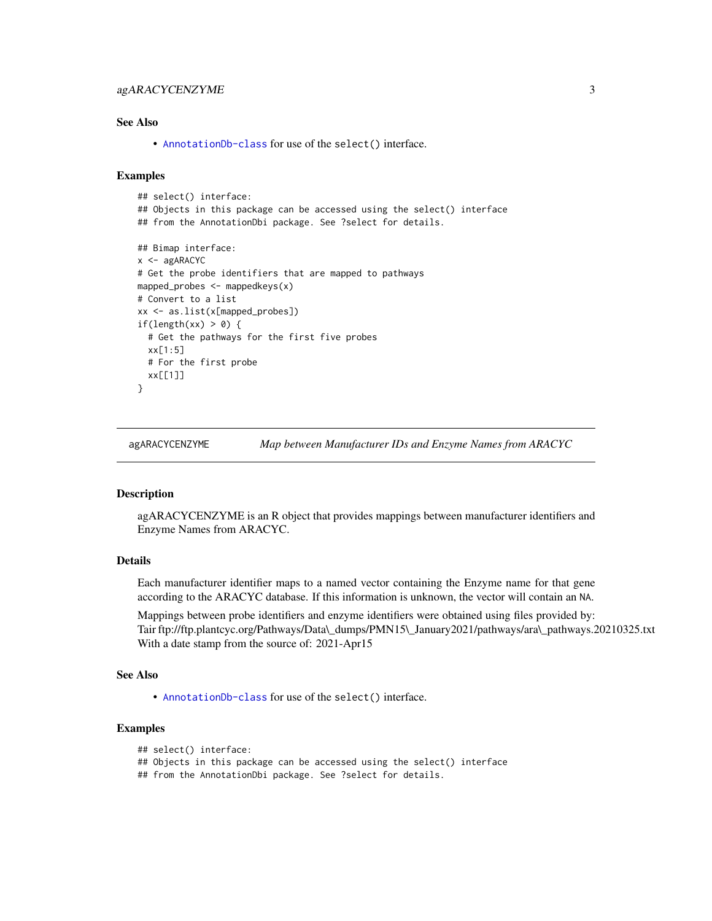# <span id="page-2-0"></span>agARACYCENZYME 3

# See Also

• [AnnotationDb-class](#page-0-0) for use of the select() interface.

## Examples

```
## select() interface:
## Objects in this package can be accessed using the select() interface
## from the AnnotationDbi package. See ?select for details.
## Bimap interface:
x < - agARACYC
# Get the probe identifiers that are mapped to pathways
mapped_probes <- mappedkeys(x)
# Convert to a list
xx <- as.list(x[mapped_probes])
if(length(xx) > 0) {
  # Get the pathways for the first five probes
  xx[1:5]
  # For the first probe
  xx[[1]]
}
```
agARACYCENZYME *Map between Manufacturer IDs and Enzyme Names from ARACYC*

#### Description

agARACYCENZYME is an R object that provides mappings between manufacturer identifiers and Enzyme Names from ARACYC.

# Details

Each manufacturer identifier maps to a named vector containing the Enzyme name for that gene according to the ARACYC database. If this information is unknown, the vector will contain an NA.

Mappings between probe identifiers and enzyme identifiers were obtained using files provided by: Tair ftp://ftp.plantcyc.org/Pathways/Data\\_dumps/PMN15\\_January2021/pathways/ara\\_pathways.20210325.txt With a date stamp from the source of: 2021-Apr15

## See Also

• [AnnotationDb-class](#page-0-0) for use of the select() interface.

### Examples

```
## select() interface:
```
## Objects in this package can be accessed using the select() interface

## from the AnnotationDbi package. See ?select for details.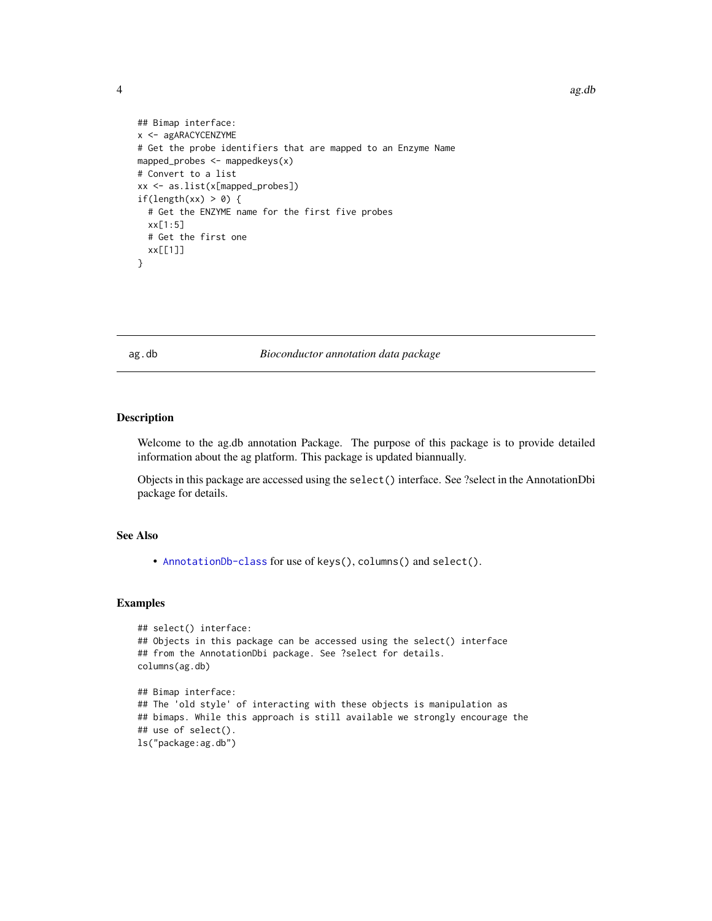4 and 2 ag.db 2 ag.db 2 ag.db 2 ag.db 2 ag.db 2 ag.db 2 ag.db 2 ag.db 2 ag.db 2 ag.db 2 ag.db 2 ag.db 2 ag.db 2 ag.db 2 ag.db 2 ag.db 2 ag.db 2 ag.db 2 ag.db 2 ag.db 2 ag.db 2 ag.db 2 ag.db 2 ag.db 2 ag.db 2 ag.db 2 ag.db

```
## Bimap interface:
x <- agARACYCENZYME
# Get the probe identifiers that are mapped to an Enzyme Name
mapped_probes \leq mappedkeys(x)
# Convert to a list
xx <- as.list(x[mapped_probes])
if(length(xx) > 0) {
  # Get the ENZYME name for the first five probes
  xx[1:5]
  # Get the first one
  xx[[1]]
}
```
#### ag.db *Bioconductor annotation data package*

#### Description

Welcome to the ag.db annotation Package. The purpose of this package is to provide detailed information about the ag platform. This package is updated biannually.

Objects in this package are accessed using the select() interface. See ?select in the AnnotationDbi package for details.

# See Also

• [AnnotationDb-class](#page-0-0) for use of keys(), columns() and select().

```
## select() interface:
## Objects in this package can be accessed using the select() interface
## from the AnnotationDbi package. See ?select for details.
columns(ag.db)
## Bimap interface:
## The 'old style' of interacting with these objects is manipulation as
## bimaps. While this approach is still available we strongly encourage the
## use of select().
ls("package:ag.db")
```
<span id="page-3-0"></span>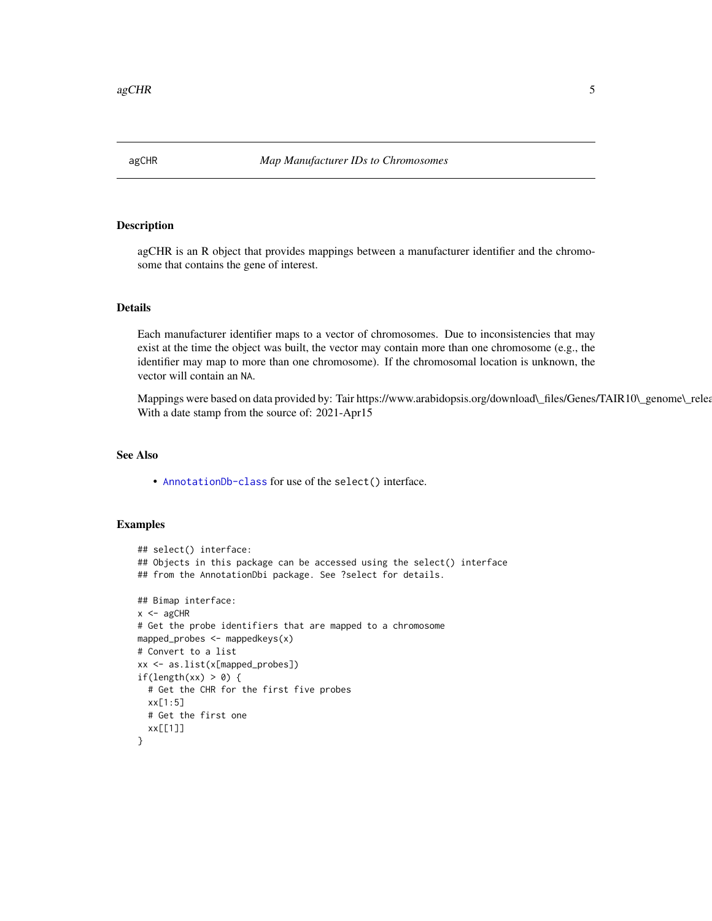<span id="page-4-0"></span>

## Description

agCHR is an R object that provides mappings between a manufacturer identifier and the chromosome that contains the gene of interest.

# Details

Each manufacturer identifier maps to a vector of chromosomes. Due to inconsistencies that may exist at the time the object was built, the vector may contain more than one chromosome (e.g., the identifier may map to more than one chromosome). If the chromosomal location is unknown, the vector will contain an NA.

Mappings were based on data provided by: Tair https://www.arabidopsis.org/download\\_files/Genes/TAIR10\\_genome\\_relea With a date stamp from the source of: 2021-Apr15

# See Also

• [AnnotationDb-class](#page-0-0) for use of the select() interface.

```
## select() interface:
## Objects in this package can be accessed using the select() interface
## from the AnnotationDbi package. See ?select for details.
## Bimap interface:
x < - agCHR
# Get the probe identifiers that are mapped to a chromosome
mapped_probes <- mappedkeys(x)
# Convert to a list
xx <- as.list(x[mapped_probes])
if(length(xx) > 0) {
 # Get the CHR for the first five probes
 xx[1:5]
 # Get the first one
 xx[[1]]
}
```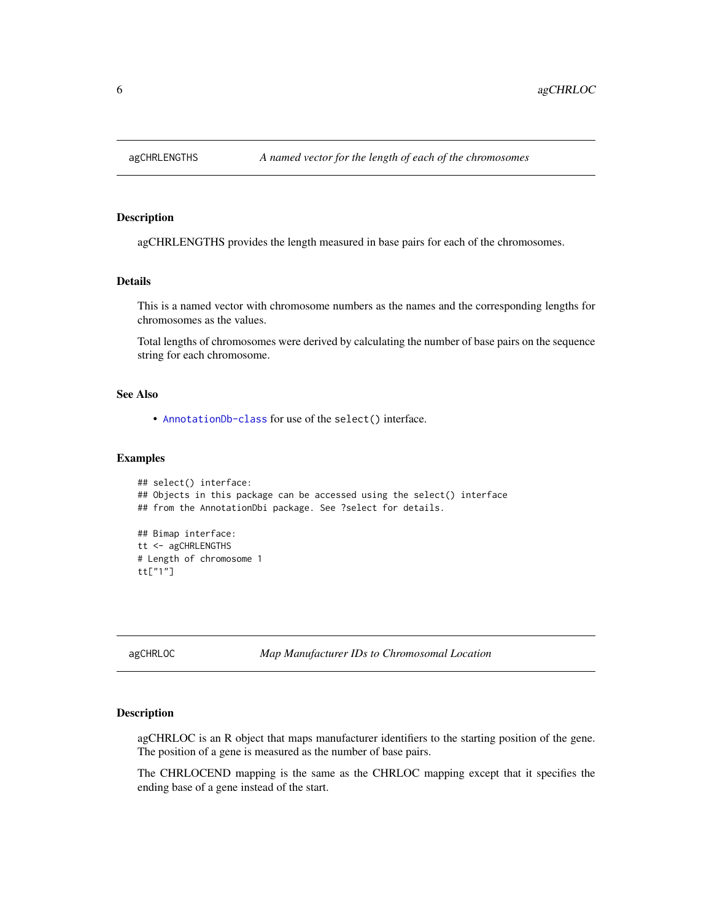<span id="page-5-0"></span>

# Description

agCHRLENGTHS provides the length measured in base pairs for each of the chromosomes.

# Details

This is a named vector with chromosome numbers as the names and the corresponding lengths for chromosomes as the values.

Total lengths of chromosomes were derived by calculating the number of base pairs on the sequence string for each chromosome.

# See Also

• [AnnotationDb-class](#page-0-0) for use of the select() interface.

## Examples

```
## select() interface:
## Objects in this package can be accessed using the select() interface
## from the AnnotationDbi package. See ?select for details.
## Bimap interface:
tt <- agCHRLENGTHS
# Length of chromosome 1
tt["1"]
```
agCHRLOC *Map Manufacturer IDs to Chromosomal Location*

### Description

agCHRLOC is an R object that maps manufacturer identifiers to the starting position of the gene. The position of a gene is measured as the number of base pairs.

The CHRLOCEND mapping is the same as the CHRLOC mapping except that it specifies the ending base of a gene instead of the start.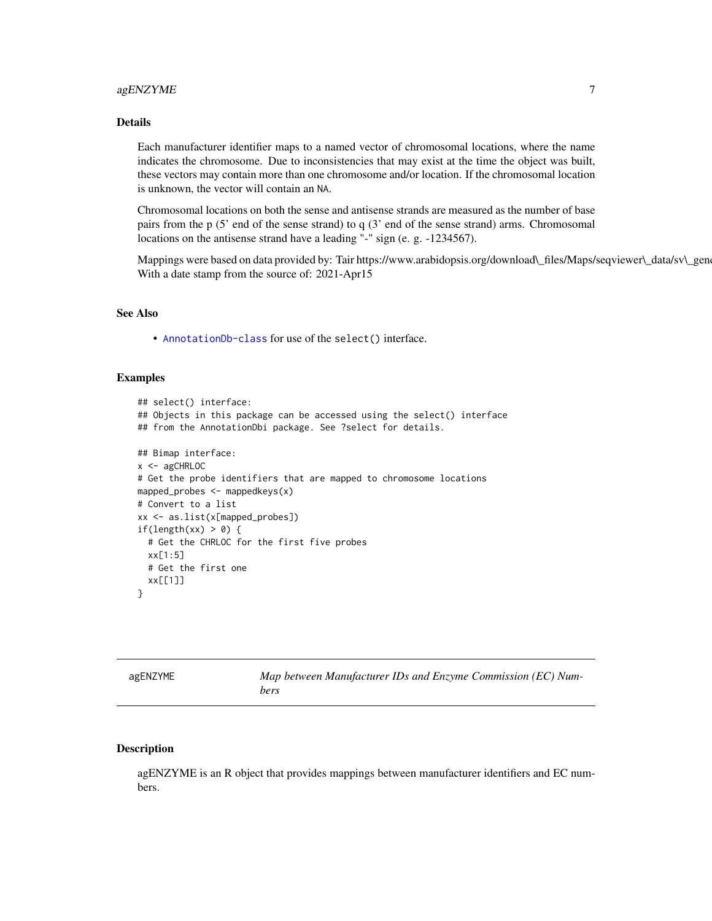# <span id="page-6-0"></span>agENZYME 7

# Details

Each manufacturer identifier maps to a named vector of chromosomal locations, where the name indicates the chromosome. Due to inconsistencies that may exist at the time the object was built, these vectors may contain more than one chromosome and/or location. If the chromosomal location is unknown, the vector will contain an NA.

Chromosomal locations on both the sense and antisense strands are measured as the number of base pairs from the p (5' end of the sense strand) to q (3' end of the sense strand) arms. Chromosomal locations on the antisense strand have a leading "-" sign (e. g. -1234567).

Mappings were based on data provided by: Tair https://www.arabidopsis.org/download\\_files/Maps/seqviewer\\_data/sv\\_gen With a date stamp from the source of: 2021-Apr15

# See Also

• [AnnotationDb-class](#page-0-0) for use of the select() interface.

# Examples

```
## select() interface:
## Objects in this package can be accessed using the select() interface
## from the AnnotationDbi package. See ?select for details.
## Bimap interface:
x < - agCHRLOC
# Get the probe identifiers that are mapped to chromosome locations
mapped_probes <- mappedkeys(x)
# Convert to a list
xx <- as.list(x[mapped_probes])
if(length(xx) > 0) {
 # Get the CHRLOC for the first five probes
 xx[1:5]
 # Get the first one
 xx[[1]]
}
```

| agENZYME | Map between Manufacturer IDs and Enzyme Commission (EC) Num- |
|----------|--------------------------------------------------------------|
|          | bers                                                         |

## Description

agENZYME is an R object that provides mappings between manufacturer identifiers and EC numbers.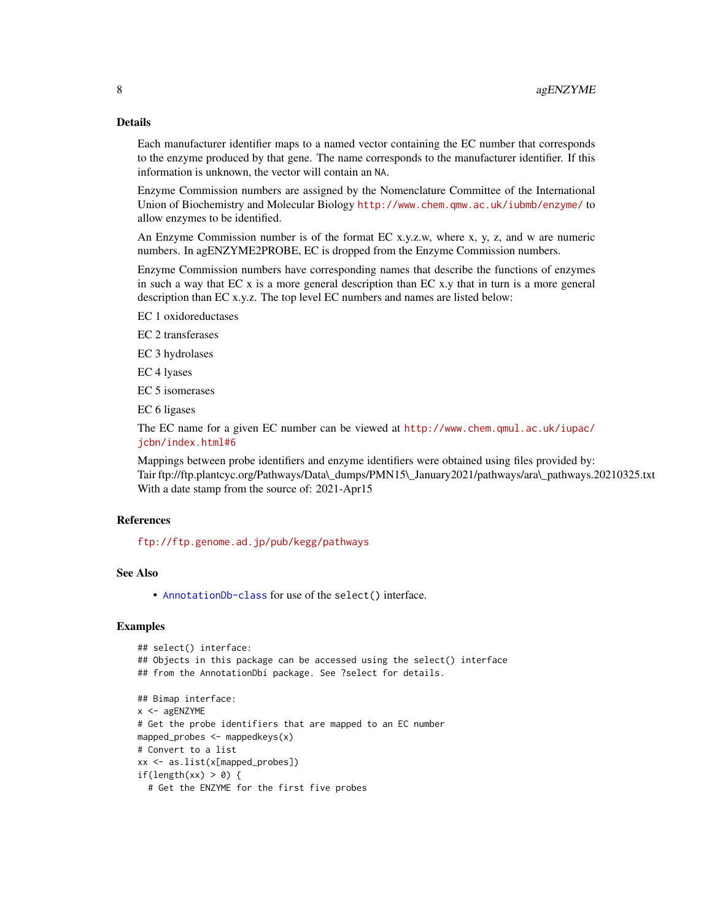# Details

Each manufacturer identifier maps to a named vector containing the EC number that corresponds to the enzyme produced by that gene. The name corresponds to the manufacturer identifier. If this information is unknown, the vector will contain an NA.

Enzyme Commission numbers are assigned by the Nomenclature Committee of the International Union of Biochemistry and Molecular Biology <http://www.chem.qmw.ac.uk/iubmb/enzyme/> to allow enzymes to be identified.

An Enzyme Commission number is of the format EC x.y.z.w, where x, y, z, and w are numeric numbers. In agENZYME2PROBE, EC is dropped from the Enzyme Commission numbers.

Enzyme Commission numbers have corresponding names that describe the functions of enzymes in such a way that  $ECx$  is a more general description than  $ECx$ . That in turn is a more general description than EC x.y.z. The top level EC numbers and names are listed below:

EC 1 oxidoreductases

EC 2 transferases

EC 3 hydrolases

EC 4 lyases

EC 5 isomerases

EC 6 ligases

The EC name for a given EC number can be viewed at [http://www.chem.qmul.ac.uk/iupac/](http://www.chem.qmul.ac.uk/iupac/jcbn/index.html#6) [jcbn/index.html#6](http://www.chem.qmul.ac.uk/iupac/jcbn/index.html#6)

Mappings between probe identifiers and enzyme identifiers were obtained using files provided by: Tair ftp://ftp.plantcyc.org/Pathways/Data\\_dumps/PMN15\\_January2021/pathways/ara\\_pathways.20210325.txt With a date stamp from the source of: 2021-Apr15

# References

<ftp://ftp.genome.ad.jp/pub/kegg/pathways>

## See Also

• [AnnotationDb-class](#page-0-0) for use of the select() interface.

```
## select() interface:
## Objects in this package can be accessed using the select() interface
## from the AnnotationDbi package. See ?select for details.
## Bimap interface:
x <- agENZYME
# Get the probe identifiers that are mapped to an EC number
mapped_probes <- mappedkeys(x)
# Convert to a list
xx <- as.list(x[mapped_probes])
if(length(xx) > 0) {
 # Get the ENZYME for the first five probes
```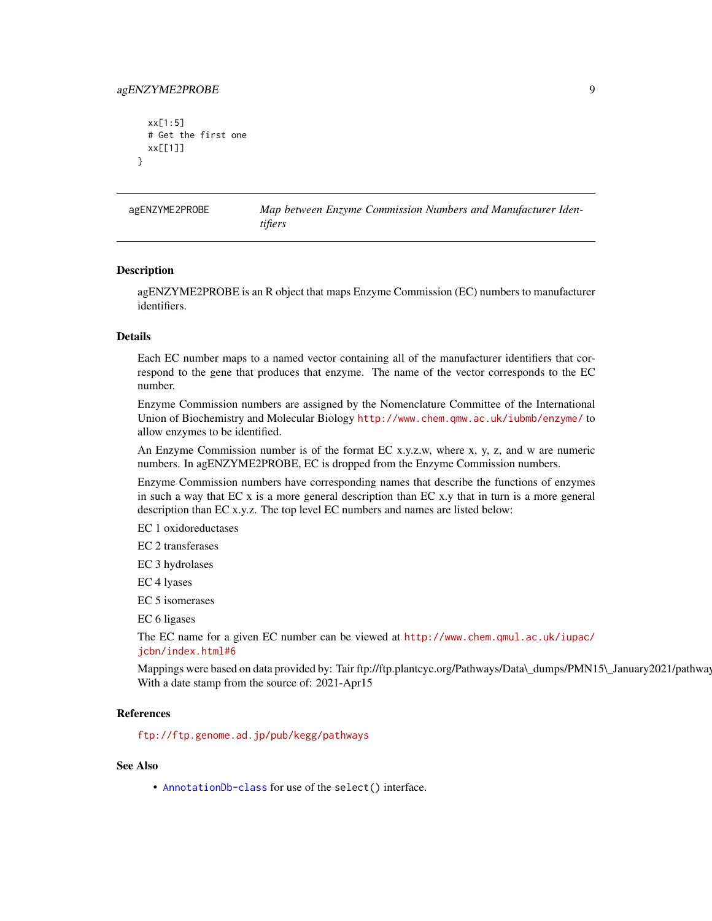# <span id="page-8-0"></span>agENZYME2PROBE 9

```
xx[1:5]
 # Get the first one
 xx[[1]]
}
```
agENZYME2PROBE *Map between Enzyme Commission Numbers and Manufacturer Identifiers*

#### **Description**

agENZYME2PROBE is an R object that maps Enzyme Commission (EC) numbers to manufacturer identifiers.

# Details

Each EC number maps to a named vector containing all of the manufacturer identifiers that correspond to the gene that produces that enzyme. The name of the vector corresponds to the EC number.

Enzyme Commission numbers are assigned by the Nomenclature Committee of the International Union of Biochemistry and Molecular Biology <http://www.chem.qmw.ac.uk/iubmb/enzyme/> to allow enzymes to be identified.

An Enzyme Commission number is of the format EC x.y.z.w, where x, y, z, and w are numeric numbers. In agENZYME2PROBE, EC is dropped from the Enzyme Commission numbers.

Enzyme Commission numbers have corresponding names that describe the functions of enzymes in such a way that EC x is a more general description than EC x.y that in turn is a more general description than EC x.y.z. The top level EC numbers and names are listed below:

EC 1 oxidoreductases

EC 2 transferases

EC 3 hydrolases

EC 4 lyases

EC 5 isomerases

EC 6 ligases

The EC name for a given EC number can be viewed at [http://www.chem.qmul.ac.uk/iupac/](http://www.chem.qmul.ac.uk/iupac/jcbn/index.html#6) [jcbn/index.html#6](http://www.chem.qmul.ac.uk/iupac/jcbn/index.html#6)

Mappings were based on data provided by: Tair ftp://ftp.plantcyc.org/Pathways/Data\\_dumps/PMN15\\_January2021/pathway With a date stamp from the source of: 2021-Apr15

# **References**

<ftp://ftp.genome.ad.jp/pub/kegg/pathways>

# See Also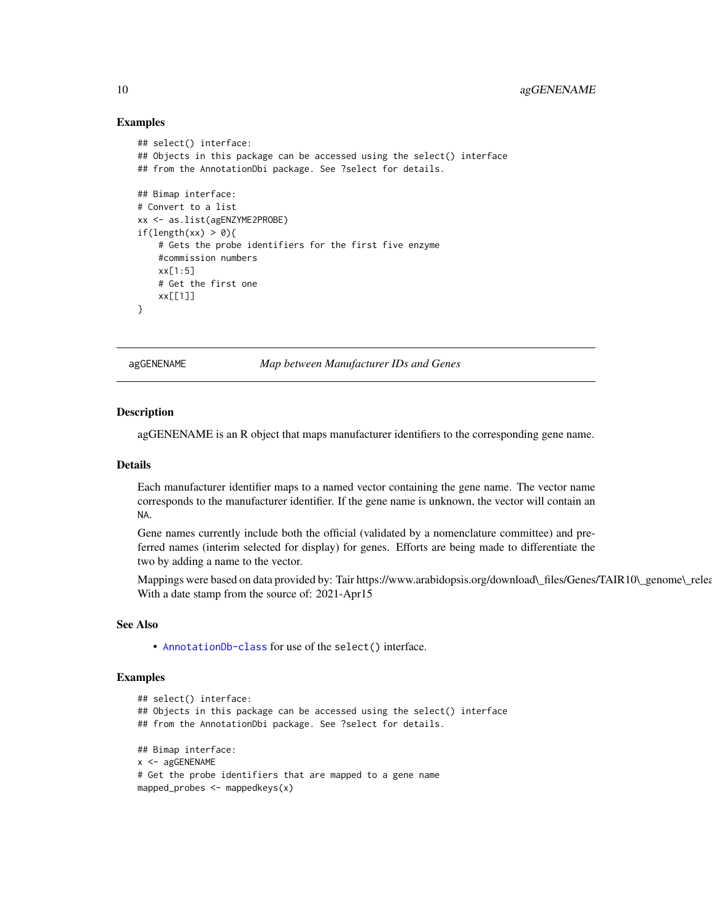# Examples

```
## select() interface:
## Objects in this package can be accessed using the select() interface
## from the AnnotationDbi package. See ?select for details.
## Bimap interface:
# Convert to a list
xx <- as.list(agENZYME2PROBE)
if(length(xx) > 0){
    # Gets the probe identifiers for the first five enzyme
    #commission numbers
   xx[1:5]
    # Get the first one
   xx[[1]]
}
```
agGENENAME *Map between Manufacturer IDs and Genes*

#### **Description**

agGENENAME is an R object that maps manufacturer identifiers to the corresponding gene name.

#### Details

Each manufacturer identifier maps to a named vector containing the gene name. The vector name corresponds to the manufacturer identifier. If the gene name is unknown, the vector will contain an NA.

Gene names currently include both the official (validated by a nomenclature committee) and preferred names (interim selected for display) for genes. Efforts are being made to differentiate the two by adding a name to the vector.

Mappings were based on data provided by: Tair https://www.arabidopsis.org/download\\_files/Genes/TAIR10\\_genome\\_relea With a date stamp from the source of: 2021-Apr15

# See Also

• [AnnotationDb-class](#page-0-0) for use of the select() interface.

```
## select() interface:
## Objects in this package can be accessed using the select() interface
## from the AnnotationDbi package. See ?select for details.
## Bimap interface:
x <- agGENENAME
# Get the probe identifiers that are mapped to a gene name
mapped_probes <- mappedkeys(x)
```
<span id="page-9-0"></span>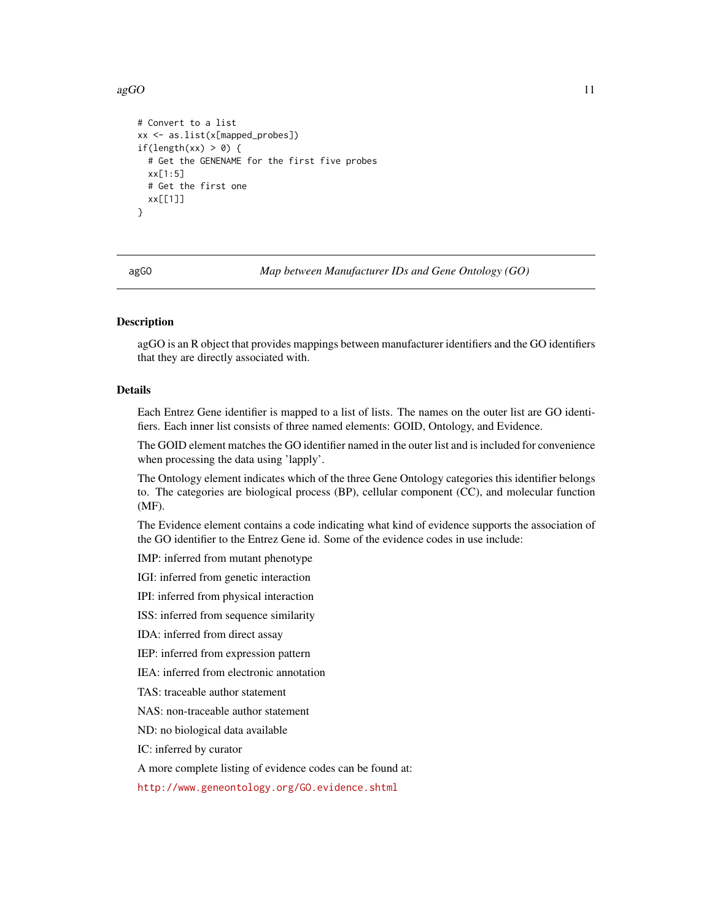#### <span id="page-10-0"></span> $a \text{gGO}$  11

```
# Convert to a list
xx <- as.list(x[mapped_probes])
if(length(xx) > 0) {
 # Get the GENENAME for the first five probes
 xx[1:5]
 # Get the first one
 xx[[1]]
}
```
agGO *Map between Manufacturer IDs and Gene Ontology (GO)*

# **Description**

agGO is an R object that provides mappings between manufacturer identifiers and the GO identifiers that they are directly associated with.

# Details

Each Entrez Gene identifier is mapped to a list of lists. The names on the outer list are GO identifiers. Each inner list consists of three named elements: GOID, Ontology, and Evidence.

The GOID element matches the GO identifier named in the outer list and is included for convenience when processing the data using 'lapply'.

The Ontology element indicates which of the three Gene Ontology categories this identifier belongs to. The categories are biological process (BP), cellular component (CC), and molecular function (MF).

The Evidence element contains a code indicating what kind of evidence supports the association of the GO identifier to the Entrez Gene id. Some of the evidence codes in use include:

IMP: inferred from mutant phenotype

IGI: inferred from genetic interaction

IPI: inferred from physical interaction

ISS: inferred from sequence similarity

IDA: inferred from direct assay

IEP: inferred from expression pattern

IEA: inferred from electronic annotation

TAS: traceable author statement

NAS: non-traceable author statement

ND: no biological data available

IC: inferred by curator

A more complete listing of evidence codes can be found at:

<http://www.geneontology.org/GO.evidence.shtml>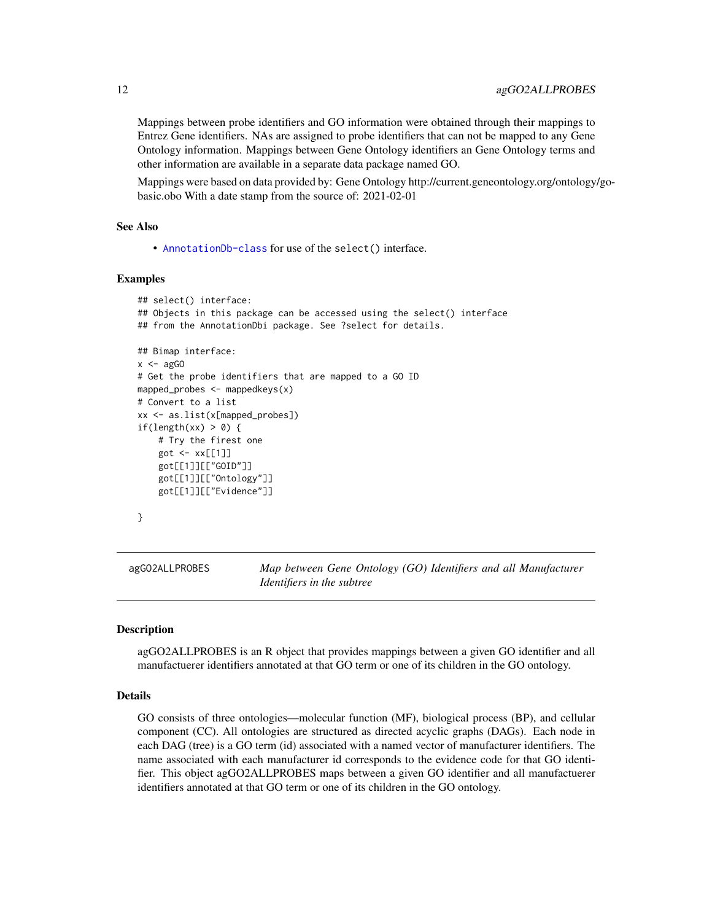<span id="page-11-0"></span>Mappings between probe identifiers and GO information were obtained through their mappings to Entrez Gene identifiers. NAs are assigned to probe identifiers that can not be mapped to any Gene Ontology information. Mappings between Gene Ontology identifiers an Gene Ontology terms and other information are available in a separate data package named GO.

Mappings were based on data provided by: Gene Ontology http://current.geneontology.org/ontology/gobasic.obo With a date stamp from the source of: 2021-02-01

# See Also

• [AnnotationDb-class](#page-0-0) for use of the select() interface.

#### Examples

```
## select() interface:
## Objects in this package can be accessed using the select() interface
## from the AnnotationDbi package. See ?select for details.
## Bimap interface:
x < - agGO
# Get the probe identifiers that are mapped to a GO ID
mapped_probes <- mappedkeys(x)
# Convert to a list
xx <- as.list(x[mapped_probes])
if(length(xx) > 0) {
    # Try the firest one
    got <- xx[[1]]
    got[[1]][["GOID"]]
    got[[1]][["Ontology"]]
    got[[1]][["Evidence"]]
}
```
agGO2ALLPROBES *Map between Gene Ontology (GO) Identifiers and all Manufacturer Identifiers in the subtree*

## **Description**

agGO2ALLPROBES is an R object that provides mappings between a given GO identifier and all manufactuerer identifiers annotated at that GO term or one of its children in the GO ontology.

# Details

GO consists of three ontologies—molecular function (MF), biological process (BP), and cellular component (CC). All ontologies are structured as directed acyclic graphs (DAGs). Each node in each DAG (tree) is a GO term (id) associated with a named vector of manufacturer identifiers. The name associated with each manufacturer id corresponds to the evidence code for that GO identifier. This object agGO2ALLPROBES maps between a given GO identifier and all manufactuerer identifiers annotated at that GO term or one of its children in the GO ontology.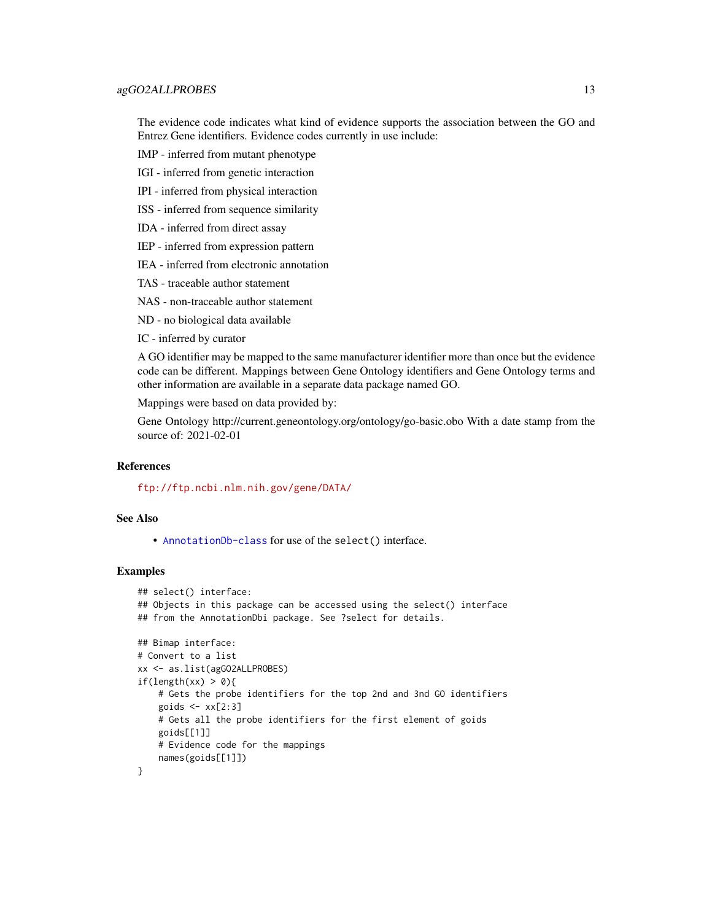# agGO2ALLPROBES 13

The evidence code indicates what kind of evidence supports the association between the GO and Entrez Gene identifiers. Evidence codes currently in use include:

IMP - inferred from mutant phenotype

IGI - inferred from genetic interaction

IPI - inferred from physical interaction

ISS - inferred from sequence similarity

IDA - inferred from direct assay

IEP - inferred from expression pattern

IEA - inferred from electronic annotation

TAS - traceable author statement

NAS - non-traceable author statement

ND - no biological data available

IC - inferred by curator

A GO identifier may be mapped to the same manufacturer identifier more than once but the evidence code can be different. Mappings between Gene Ontology identifiers and Gene Ontology terms and other information are available in a separate data package named GO.

Mappings were based on data provided by:

Gene Ontology http://current.geneontology.org/ontology/go-basic.obo With a date stamp from the source of: 2021-02-01

# References

<ftp://ftp.ncbi.nlm.nih.gov/gene/DATA/>

# See Also

• [AnnotationDb-class](#page-0-0) for use of the select() interface.

```
## select() interface:
## Objects in this package can be accessed using the select() interface
## from the AnnotationDbi package. See ?select for details.
## Bimap interface:
# Convert to a list
xx <- as.list(agGO2ALLPROBES)
if(length(xx) > 0)# Gets the probe identifiers for the top 2nd and 3nd GO identifiers
    goids \leq xx[2:3]# Gets all the probe identifiers for the first element of goids
   goids[[1]]
   # Evidence code for the mappings
   names(goids[[1]])
}
```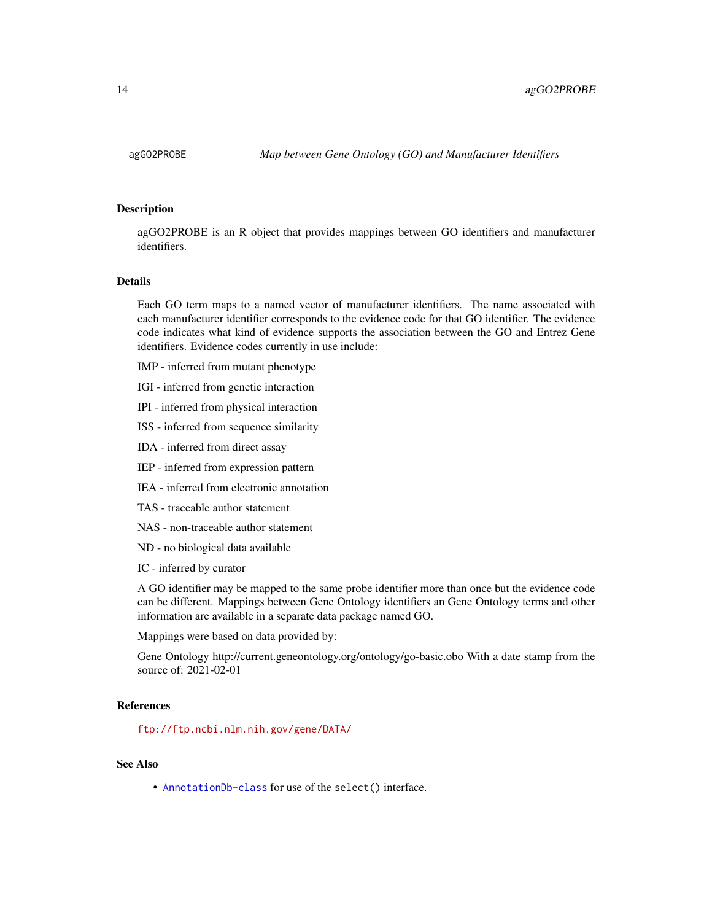## <span id="page-13-0"></span>Description

agGO2PROBE is an R object that provides mappings between GO identifiers and manufacturer identifiers.

# Details

Each GO term maps to a named vector of manufacturer identifiers. The name associated with each manufacturer identifier corresponds to the evidence code for that GO identifier. The evidence code indicates what kind of evidence supports the association between the GO and Entrez Gene identifiers. Evidence codes currently in use include:

IMP - inferred from mutant phenotype

- IGI inferred from genetic interaction
- IPI inferred from physical interaction
- ISS inferred from sequence similarity
- IDA inferred from direct assay
- IEP inferred from expression pattern
- IEA inferred from electronic annotation
- TAS traceable author statement
- NAS non-traceable author statement
- ND no biological data available
- IC inferred by curator

A GO identifier may be mapped to the same probe identifier more than once but the evidence code can be different. Mappings between Gene Ontology identifiers an Gene Ontology terms and other information are available in a separate data package named GO.

Mappings were based on data provided by:

Gene Ontology http://current.geneontology.org/ontology/go-basic.obo With a date stamp from the source of: 2021-02-01

#### References

<ftp://ftp.ncbi.nlm.nih.gov/gene/DATA/>

## See Also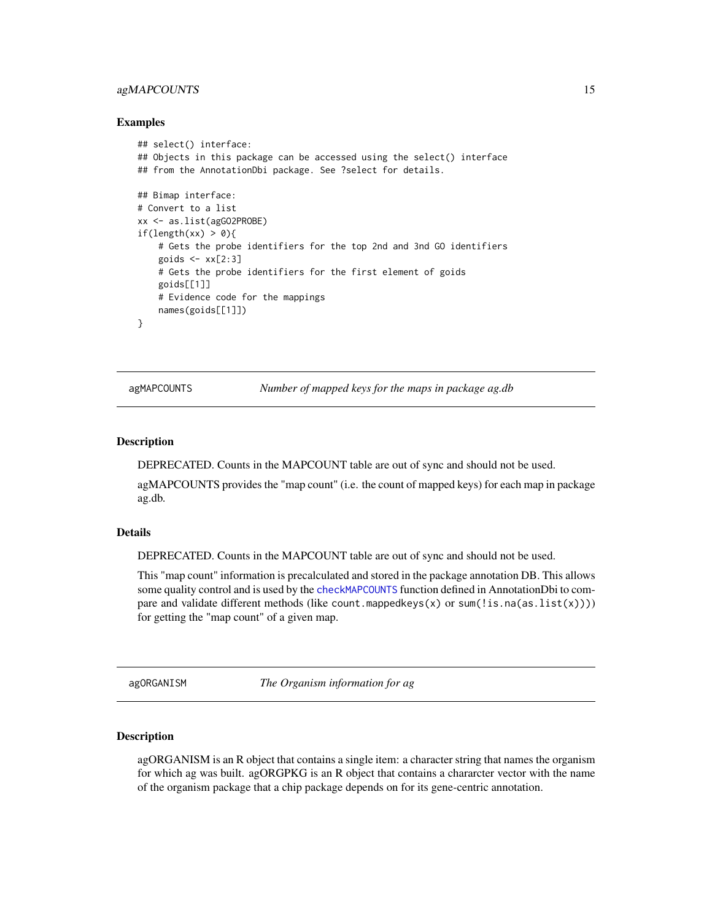# <span id="page-14-0"></span>agMAPCOUNTS 15

## Examples

```
## select() interface:
## Objects in this package can be accessed using the select() interface
## from the AnnotationDbi package. See ?select for details.
## Bimap interface:
# Convert to a list
xx <- as.list(agGO2PROBE)
if(length(xx) > 0){
    # Gets the probe identifiers for the top 2nd and 3nd GO identifiers
   goids <- xx[2:3]
   # Gets the probe identifiers for the first element of goids
   goids[[1]]
   # Evidence code for the mappings
   names(goids[[1]])
}
```
agMAPCOUNTS *Number of mapped keys for the maps in package ag.db*

# Description

DEPRECATED. Counts in the MAPCOUNT table are out of sync and should not be used.

agMAPCOUNTS provides the "map count" (i.e. the count of mapped keys) for each map in package ag.db.

## Details

DEPRECATED. Counts in the MAPCOUNT table are out of sync and should not be used.

This "map count" information is precalculated and stored in the package annotation DB. This allows some quality control and is used by the [checkMAPCOUNTS](#page-0-0) function defined in AnnotationDbi to compare and validate different methods (like count.mappedkeys(x) or sum(!is.na(as.list(x)))) for getting the "map count" of a given map.

agORGANISM *The Organism information for ag*

#### **Description**

agORGANISM is an R object that contains a single item: a character string that names the organism for which ag was built. agORGPKG is an R object that contains a chararcter vector with the name of the organism package that a chip package depends on for its gene-centric annotation.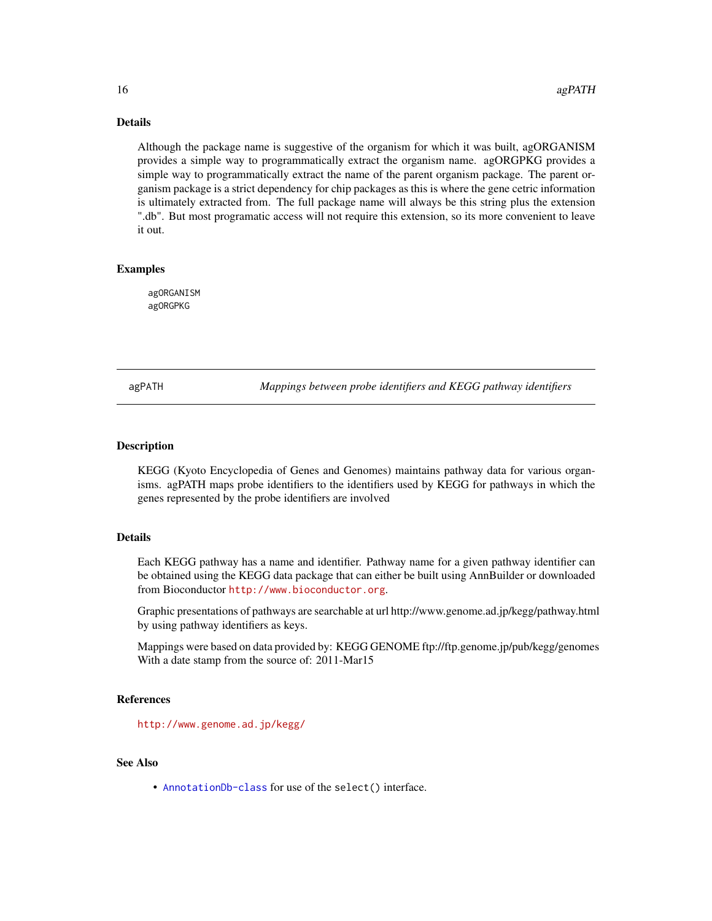# Details

Although the package name is suggestive of the organism for which it was built, agORGANISM provides a simple way to programmatically extract the organism name. agORGPKG provides a simple way to programmatically extract the name of the parent organism package. The parent organism package is a strict dependency for chip packages as this is where the gene cetric information is ultimately extracted from. The full package name will always be this string plus the extension ".db". But most programatic access will not require this extension, so its more convenient to leave it out.

# Examples

agORGANISM agORGPKG

agPATH *Mappings between probe identifiers and KEGG pathway identifiers*

# Description

KEGG (Kyoto Encyclopedia of Genes and Genomes) maintains pathway data for various organisms. agPATH maps probe identifiers to the identifiers used by KEGG for pathways in which the genes represented by the probe identifiers are involved

# Details

Each KEGG pathway has a name and identifier. Pathway name for a given pathway identifier can be obtained using the KEGG data package that can either be built using AnnBuilder or downloaded from Bioconductor <http://www.bioconductor.org>.

Graphic presentations of pathways are searchable at url http://www.genome.ad.jp/kegg/pathway.html by using pathway identifiers as keys.

Mappings were based on data provided by: KEGG GENOME ftp://ftp.genome.jp/pub/kegg/genomes With a date stamp from the source of: 2011-Mar15

# References

<http://www.genome.ad.jp/kegg/>

# See Also

<span id="page-15-0"></span>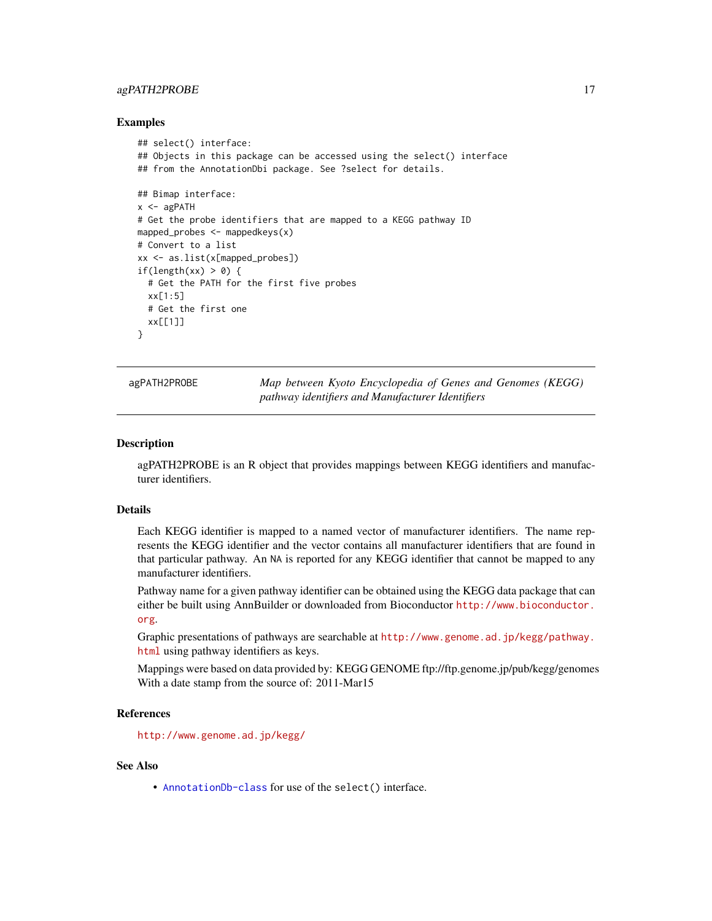# <span id="page-16-0"></span>agPATH2PROBE 17

## Examples

```
## select() interface:
## Objects in this package can be accessed using the select() interface
## from the AnnotationDbi package. See ?select for details.
## Bimap interface:
x < - agPATH
# Get the probe identifiers that are mapped to a KEGG pathway ID
mapped_probes <- mappedkeys(x)
# Convert to a list
xx <- as.list(x[mapped_probes])
if(length(xx) > 0) {
  # Get the PATH for the first five probes
  xx[1:5]
  # Get the first one
  xx[[1]]
}
```
agPATH2PROBE *Map between Kyoto Encyclopedia of Genes and Genomes (KEGG) pathway identifiers and Manufacturer Identifiers*

#### Description

agPATH2PROBE is an R object that provides mappings between KEGG identifiers and manufacturer identifiers.

#### Details

Each KEGG identifier is mapped to a named vector of manufacturer identifiers. The name represents the KEGG identifier and the vector contains all manufacturer identifiers that are found in that particular pathway. An NA is reported for any KEGG identifier that cannot be mapped to any manufacturer identifiers.

Pathway name for a given pathway identifier can be obtained using the KEGG data package that can either be built using AnnBuilder or downloaded from Bioconductor [http://www.bioconductor.](http://www.bioconductor.org) [org](http://www.bioconductor.org).

Graphic presentations of pathways are searchable at [http://www.genome.ad.jp/kegg/pathway.](http://www.genome.ad.jp/kegg/pathway.html) [html](http://www.genome.ad.jp/kegg/pathway.html) using pathway identifiers as keys.

Mappings were based on data provided by: KEGG GENOME ftp://ftp.genome.jp/pub/kegg/genomes With a date stamp from the source of: 2011-Mar15

# **References**

<http://www.genome.ad.jp/kegg/>

# See Also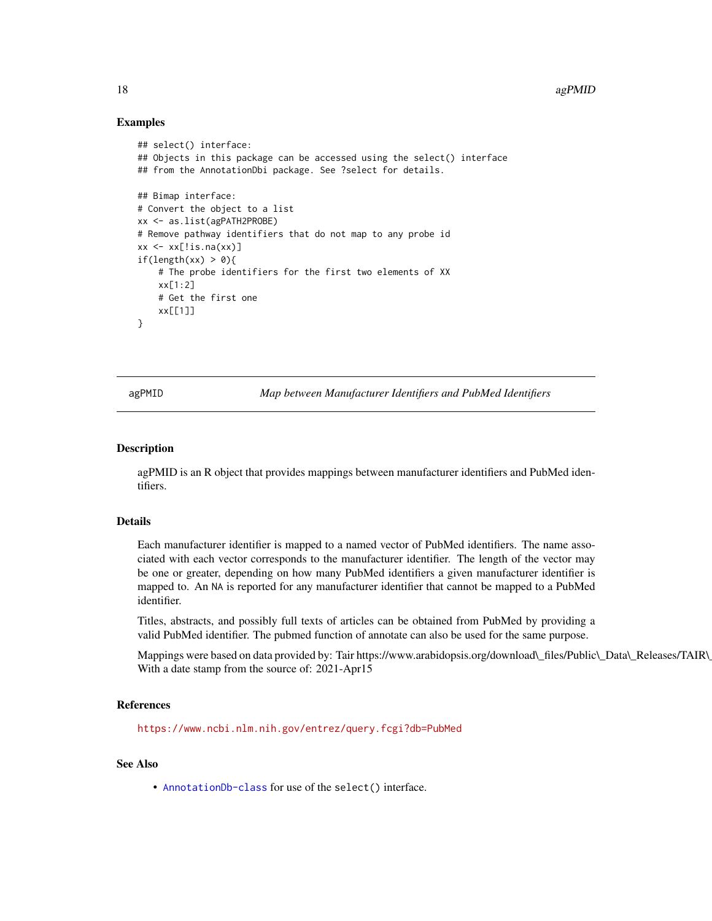# Examples

```
## select() interface:
## Objects in this package can be accessed using the select() interface
## from the AnnotationDbi package. See ?select for details.
## Bimap interface:
# Convert the object to a list
xx <- as.list(agPATH2PROBE)
# Remove pathway identifiers that do not map to any probe id
xx \leftarrow xx[!is.na(xx)]if(length(xx) > 0){
    # The probe identifiers for the first two elements of XX
    xx[1:2]
    # Get the first one
   xx[[1]]
}
```
agPMID *Map between Manufacturer Identifiers and PubMed Identifiers*

## Description

agPMID is an R object that provides mappings between manufacturer identifiers and PubMed identifiers.

#### Details

Each manufacturer identifier is mapped to a named vector of PubMed identifiers. The name associated with each vector corresponds to the manufacturer identifier. The length of the vector may be one or greater, depending on how many PubMed identifiers a given manufacturer identifier is mapped to. An NA is reported for any manufacturer identifier that cannot be mapped to a PubMed identifier.

Titles, abstracts, and possibly full texts of articles can be obtained from PubMed by providing a valid PubMed identifier. The pubmed function of annotate can also be used for the same purpose.

Mappings were based on data provided by: Tair https://www.arabidopsis.org/download\\_files/Public\\_Data\\_Releases/TAIR\ With a date stamp from the source of: 2021-Apr15

## References

<https://www.ncbi.nlm.nih.gov/entrez/query.fcgi?db=PubMed>

## See Also

<span id="page-17-0"></span>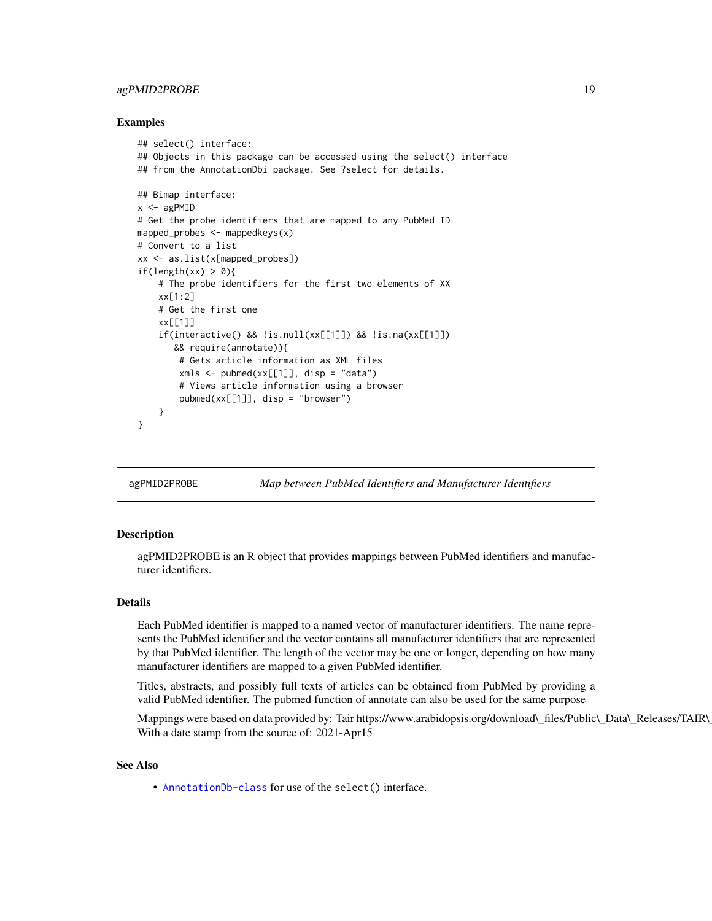# <span id="page-18-0"></span>agPMID2PROBE 19

## Examples

```
## select() interface:
## Objects in this package can be accessed using the select() interface
## from the AnnotationDbi package. See ?select for details.
## Bimap interface:
x < - agPMID
# Get the probe identifiers that are mapped to any PubMed ID
mapped_probes \leq mappedkeys(x)
# Convert to a list
xx <- as.list(x[mapped_probes])
if(length(xx) > 0){
    # The probe identifiers for the first two elements of XX
   xx[1:2]
   # Get the first one
   xx[[1]]
    if(interactive() && !is.null(xx[[1]]) && !is.na(xx[[1]])
      && require(annotate)){
        # Gets article information as XML files
        xmls < -pubmed(xx[[1]], disp = "data")# Views article information using a browser
        pubmed(xx[[1]], disp = "browser")}
}
```
agPMID2PROBE *Map between PubMed Identifiers and Manufacturer Identifiers*

# **Description**

agPMID2PROBE is an R object that provides mappings between PubMed identifiers and manufacturer identifiers.

# Details

Each PubMed identifier is mapped to a named vector of manufacturer identifiers. The name represents the PubMed identifier and the vector contains all manufacturer identifiers that are represented by that PubMed identifier. The length of the vector may be one or longer, depending on how many manufacturer identifiers are mapped to a given PubMed identifier.

Titles, abstracts, and possibly full texts of articles can be obtained from PubMed by providing a valid PubMed identifier. The pubmed function of annotate can also be used for the same purpose

Mappings were based on data provided by: Tair https://www.arabidopsis.org/download\\_files/Public\\_Data\\_Releases/TAIR\ With a date stamp from the source of: 2021-Apr15

# See Also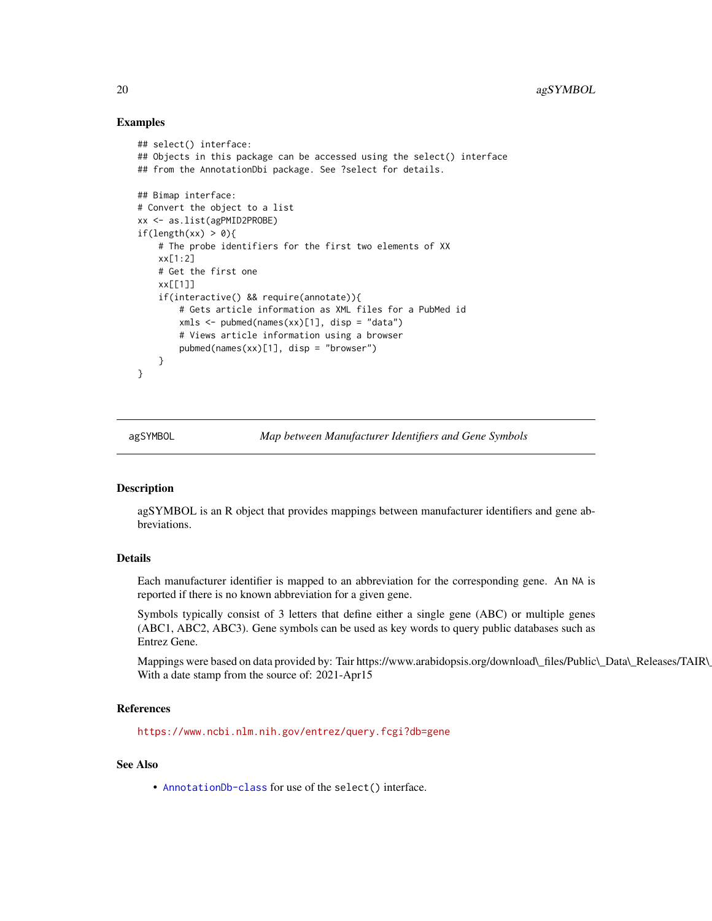# Examples

```
## select() interface:
## Objects in this package can be accessed using the select() interface
## from the AnnotationDbi package. See ?select for details.
## Bimap interface:
# Convert the object to a list
xx <- as.list(agPMID2PROBE)
if(length(xx) > 0){
    # The probe identifiers for the first two elements of XX
   xx[1:2]
   # Get the first one
   xx[[1]]
    if(interactive() && require(annotate)){
       # Gets article information as XML files for a PubMed id
       xmls < -pubmed(names(xx)[1], disp = "data")# Views article information using a browser
       pubmed(names(xx)[1], disp = "browser")
    }
}
```
agSYMBOL *Map between Manufacturer Identifiers and Gene Symbols*

# **Description**

agSYMBOL is an R object that provides mappings between manufacturer identifiers and gene abbreviations.

# Details

Each manufacturer identifier is mapped to an abbreviation for the corresponding gene. An NA is reported if there is no known abbreviation for a given gene.

Symbols typically consist of 3 letters that define either a single gene (ABC) or multiple genes (ABC1, ABC2, ABC3). Gene symbols can be used as key words to query public databases such as Entrez Gene.

Mappings were based on data provided by: Tair https://www.arabidopsis.org/download\\_files/Public\\_Data\\_Releases/TAIR\ With a date stamp from the source of: 2021-Apr15

#### References

<https://www.ncbi.nlm.nih.gov/entrez/query.fcgi?db=gene>

# See Also

<span id="page-19-0"></span>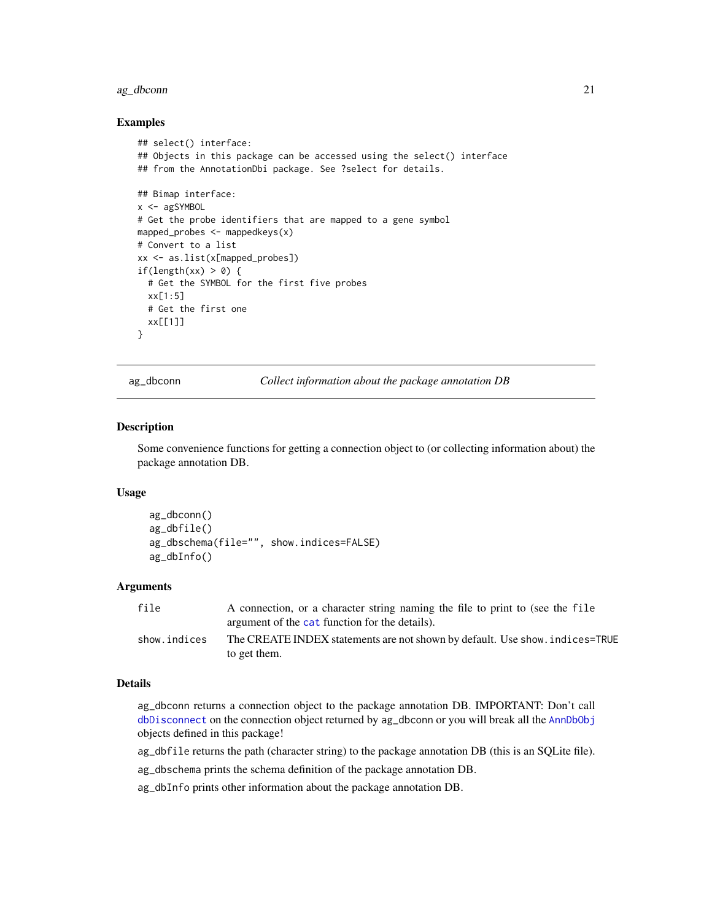# <span id="page-20-0"></span>ag\_dbconn 21

## Examples

```
## select() interface:
## Objects in this package can be accessed using the select() interface
## from the AnnotationDbi package. See ?select for details.
## Bimap interface:
x <- agSYMBOL
# Get the probe identifiers that are mapped to a gene symbol
mapped_probes <- mappedkeys(x)
# Convert to a list
xx <- as.list(x[mapped_probes])
if(length(xx) > 0) {
  # Get the SYMBOL for the first five probes
  xx[1:5]
  # Get the first one
  xx[[1]]
}
```
ag\_dbconn *Collect information about the package annotation DB*

## Description

Some convenience functions for getting a connection object to (or collecting information about) the package annotation DB.

#### Usage

```
ag_dbconn()
ag_dbfile()
ag_dbschema(file="", show.indices=FALSE)
ag_dbInfo()
```
## Arguments

| file         | A connection, or a character string naming the file to print to (see the file<br>argument of the cat function for the details). |
|--------------|---------------------------------------------------------------------------------------------------------------------------------|
| show.indices | The CREATE INDEX statements are not shown by default. Use show, indices=TRUE<br>to get them.                                    |

# Details

ag\_dbconn returns a connection object to the package annotation DB. IMPORTANT: Don't call [dbDisconnect](#page-0-0) on the connection object returned by ag\_dbconn or you will break all the [AnnDbObj](#page-0-0) objects defined in this package!

ag\_dbfile returns the path (character string) to the package annotation DB (this is an SQLite file).

ag\_dbschema prints the schema definition of the package annotation DB.

ag\_dbInfo prints other information about the package annotation DB.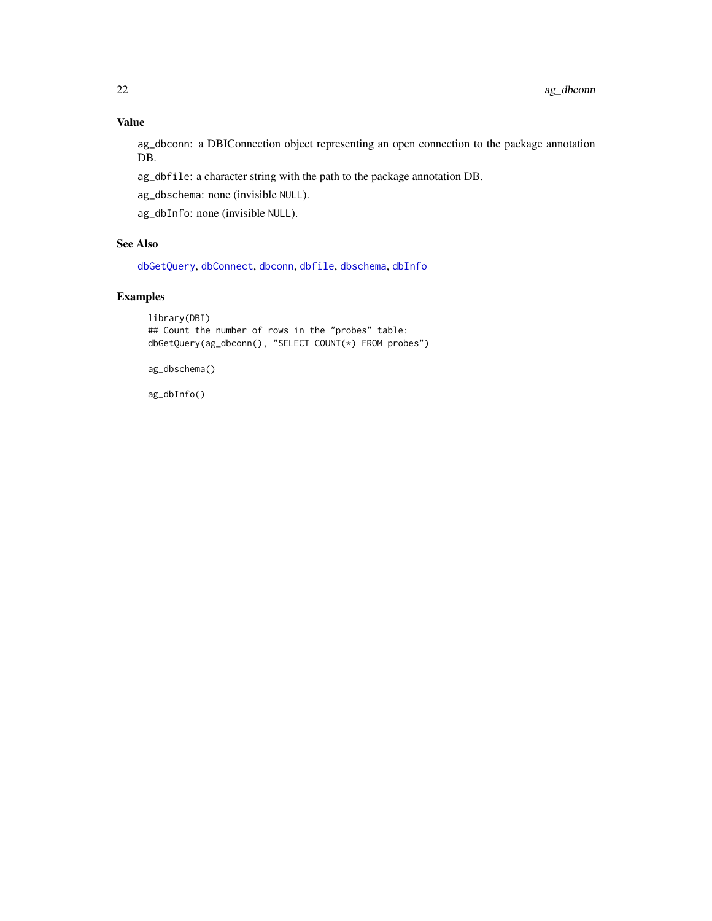# <span id="page-21-0"></span>Value

ag\_dbconn: a DBIConnection object representing an open connection to the package annotation DB.

ag\_dbfile: a character string with the path to the package annotation DB.

ag\_dbschema: none (invisible NULL).

ag\_dbInfo: none (invisible NULL).

# See Also

[dbGetQuery](#page-0-0), [dbConnect](#page-0-0), [dbconn](#page-0-0), [dbfile](#page-0-0), [dbschema](#page-0-0), [dbInfo](#page-0-0)

# Examples

```
library(DBI)
## Count the number of rows in the "probes" table:
dbGetQuery(ag_dbconn(), "SELECT COUNT(*) FROM probes")
```
ag\_dbschema()

ag\_dbInfo()